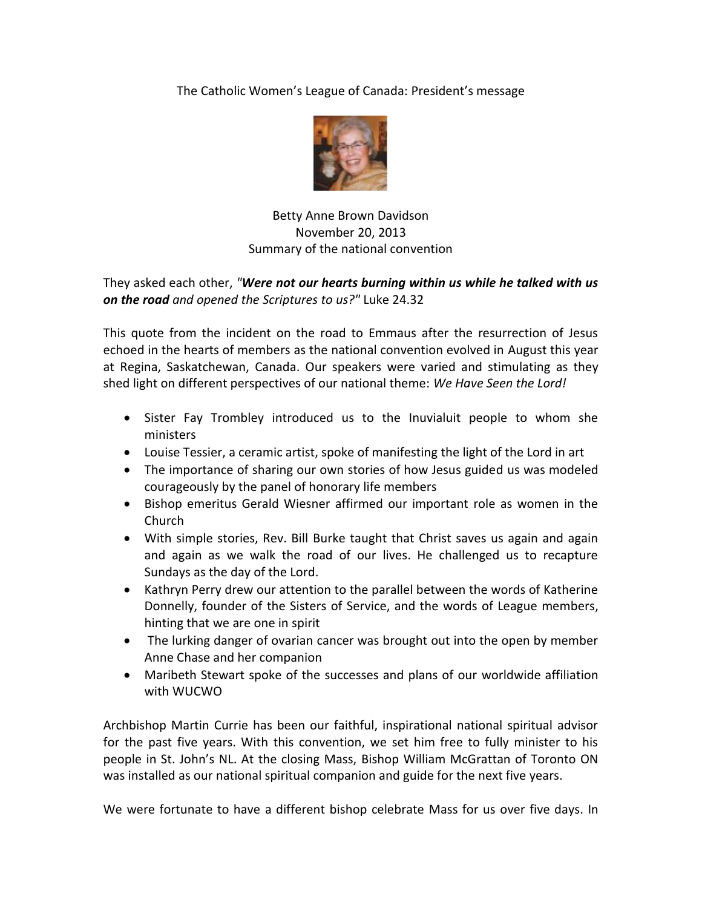## The Catholic Women's League of Canada: President's message



## Betty Anne Brown Davidson November 20, 2013 Summary of the national convention

## They asked each other, *"Were not our hearts burning within us while he talked with us on the road and opened the Scriptures to us?"* Luke 24.32

This quote from the incident on the road to Emmaus after the resurrection of Jesus echoed in the hearts of members as the national convention evolved in August this year at Regina, Saskatchewan, Canada. Our speakers were varied and stimulating as they shed light on different perspectives of our national theme: *We Have Seen the Lord!*

- Sister Fay Trombley introduced us to the Inuvialuit people to whom she ministers
- Louise Tessier, a ceramic artist, spoke of manifesting the light of the Lord in art
- The importance of sharing our own stories of how Jesus guided us was modeled courageously by the panel of honorary life members
- Bishop emeritus Gerald Wiesner affirmed our important role as women in the Church
- With simple stories, Rev. Bill Burke taught that Christ saves us again and again and again as we walk the road of our lives. He challenged us to recapture Sundays as the day of the Lord.
- Kathryn Perry drew our attention to the parallel between the words of Katherine Donnelly, founder of the Sisters of Service, and the words of League members, hinting that we are one in spirit
- The lurking danger of ovarian cancer was brought out into the open by member Anne Chase and her companion
- Maribeth Stewart spoke of the successes and plans of our worldwide affiliation with WUCWO

Archbishop Martin Currie has been our faithful, inspirational national spiritual advisor for the past five years. With this convention, we set him free to fully minister to his people in St. John's NL. At the closing Mass, Bishop William McGrattan of Toronto ON was installed as our national spiritual companion and guide for the next five years.

We were fortunate to have a different bishop celebrate Mass for us over five days. In